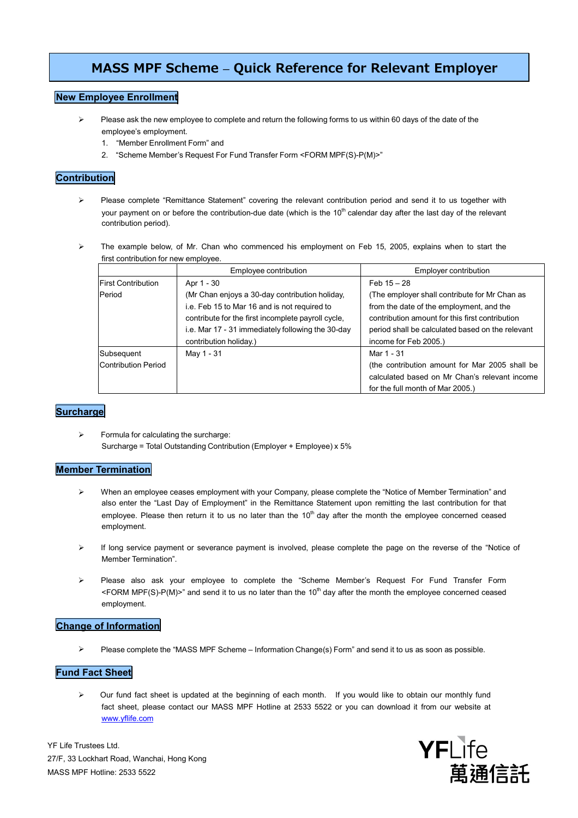# **MASS MPF Scheme – Quick Reference for Relevant Employer**

## **New Employee Enrollment**

- $\triangleright$  Please ask the new employee to complete and return the following forms to us within 60 days of the date of the employee's employment.
	- 1. "Member Enrollment Form" and
	- 2. "Scheme Member's Request For Fund Transfer Form <FORM MPF(S)-P(M)>"

## **Contribution**

- Please complete "Remittance Statement" covering the relevant contribution period and send it to us together with your payment on or before the contribution-due date (which is the  $10<sup>th</sup>$  calendar day after the last day of the relevant contribution period).
- $\triangleright$  The example below, of Mr. Chan who commenced his employment on Feb 15, 2005, explains when to start the first contribution for new employee.

|                                          | Employee contribution                                                                                                                                                                                                               | Employer contribution                                                                                                                                                                                                     |
|------------------------------------------|-------------------------------------------------------------------------------------------------------------------------------------------------------------------------------------------------------------------------------------|---------------------------------------------------------------------------------------------------------------------------------------------------------------------------------------------------------------------------|
| <b>IFirst Contribution</b>               | Apr 1 - 30                                                                                                                                                                                                                          | Feb $15 - 28$                                                                                                                                                                                                             |
| Period                                   | (Mr Chan enjoys a 30-day contribution holiday,<br>i.e. Feb 15 to Mar 16 and is not required to<br>contribute for the first incomplete payroll cycle,<br>i.e. Mar 17 - 31 immediately following the 30-day<br>contribution holiday.) | (The employer shall contribute for Mr Chan as<br>from the date of the employment, and the<br>contribution amount for this first contribution<br>period shall be calculated based on the relevant<br>income for Feb 2005.) |
| Subsequent<br><b>Contribution Period</b> | May 1 - 31                                                                                                                                                                                                                          | Mar 1 - 31<br>(the contribution amount for Mar 2005 shall be<br>calculated based on Mr Chan's relevant income<br>for the full month of Mar 2005.)                                                                         |

## **Surcharge**

 $\triangleright$  Formula for calculating the surcharge: Surcharge = Total Outstanding Contribution (Employer + Employee) x 5%

### **Member Termination**

- When an employee ceases employment with your Company, please complete the "Notice of Member Termination" and also enter the "Last Day of Employment" in the Remittance Statement upon remitting the last contribution for that employee. Please then return it to us no later than the 10<sup>th</sup> day after the month the employee concerned ceased employment.
- If long service payment or severance payment is involved, please complete the page on the reverse of the "Notice of Member Termination".
- Please also ask your employee to complete the "Scheme Member's Request For Fund Transfer Form <FORM MPF(S)-P(M)>" and send it to us no later than the 10<sup>th</sup> day after the month the employee concerned ceased employment.

### **Change of Information**

Please complete the "MASS MPF Scheme – Information Change(s) Form" and send it to us as soon as possible.

## **Fund Fact Sheet**

 Our fund fact sheet is updated at the beginning of each month. If you would like to obtain our monthly fund fact sheet, please contact our MASS MPF Hotline at 2533 5522 or you can download it from our website at [www.yflife.com](http://www.yflife.com/)

YF Life Trustees Ltd. 27/F, 33 Lockhart Road, Wanchai, Hong Kong MASS MPF Hotline: 2533 5522